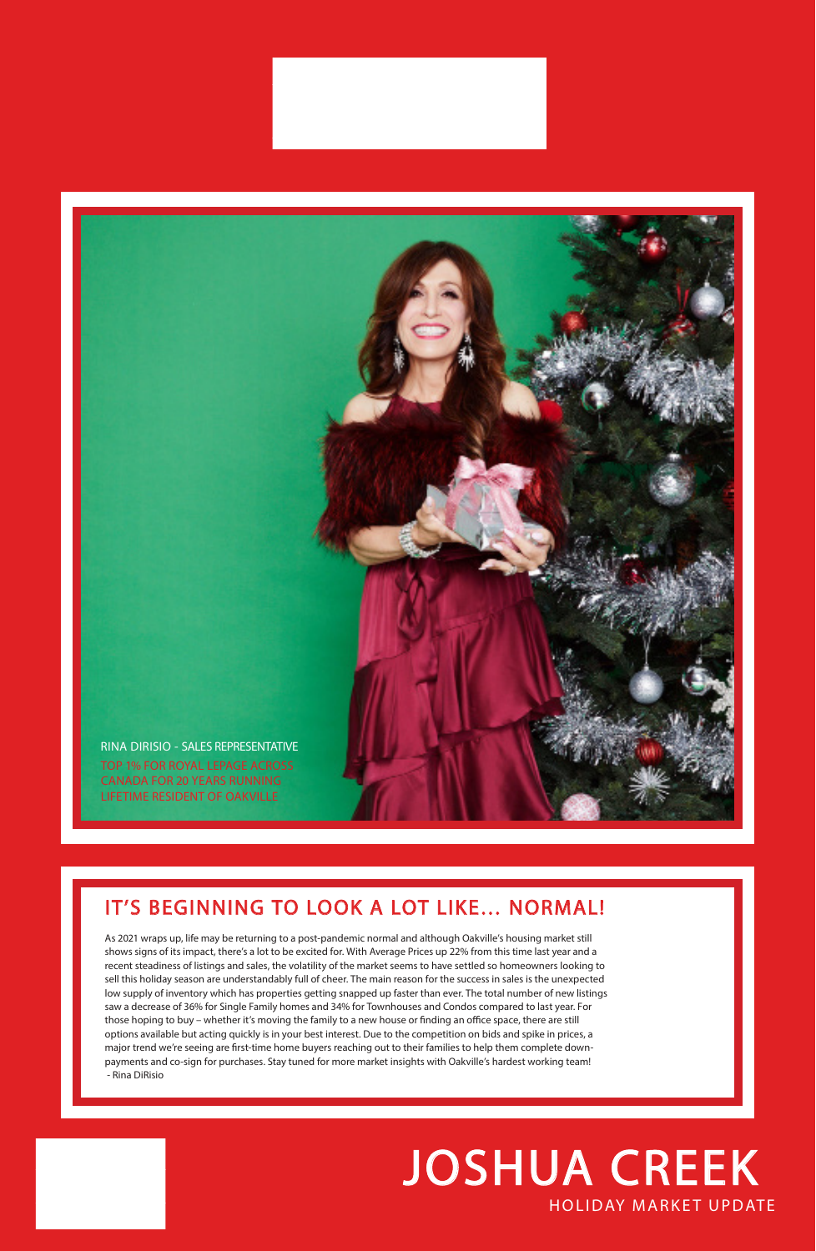## HOLIDAY MARKET UPDATE JOSHUA CREEK

## IT'S BEGINNING TO LOOK A LOT LIKE… NORMAL!

As 2021 wraps up, life may be returning to a post-pandemic normal and although Oakville's housing market still

shows signs of its impact, there's a lot to be excited for. With Average Prices up 22% from this time last year and a recent steadiness of listings and sales, the volatility of the market seems to have settled so homeowners looking to sell this holiday season are understandably full of cheer. The main reason for the success in sales is the unexpected low supply of inventory which has properties getting snapped up faster than ever. The total number of new listings saw a decrease of 36% for Single Family homes and 34% for Townhouses and Condos compared to last year. For those hoping to buy – whether it's moving the family to a new house or finding an office space, there are still options available but acting quickly is in your best interest. Due to the competition on bids and spike in prices, a major trend we're seeing are first-time home buyers reaching out to their families to help them complete downpayments and co-sign for purchases. Stay tuned for more market insights with Oakville's hardest working team! - Rina DiRisio